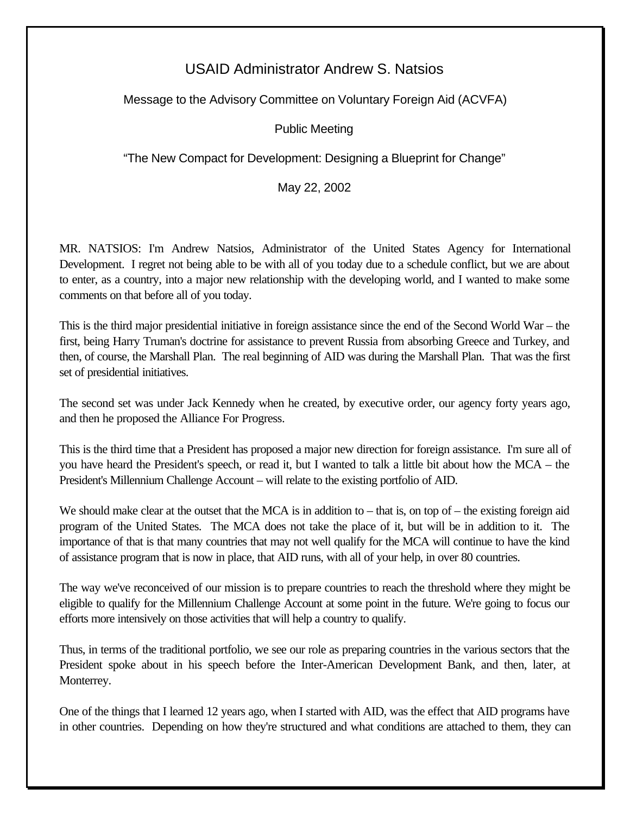## USAID Administrator Andrew S. Natsios

## Message to the Advisory Committee on Voluntary Foreign Aid (ACVFA)

## Public Meeting

"The New Compact for Development: Designing a Blueprint for Change"

May 22, 2002

MR. NATSIOS: I'm Andrew Natsios, Administrator of the United States Agency for International Development. I regret not being able to be with all of you today due to a schedule conflict, but we are about to enter, as a country, into a major new relationship with the developing world, and I wanted to make some comments on that before all of you today.

This is the third major presidential initiative in foreign assistance since the end of the Second World War – the first, being Harry Truman's doctrine for assistance to prevent Russia from absorbing Greece and Turkey, and then, of course, the Marshall Plan. The real beginning of AID was during the Marshall Plan. That was the first set of presidential initiatives.

The second set was under Jack Kennedy when he created, by executive order, our agency forty years ago, and then he proposed the Alliance For Progress.

This is the third time that a President has proposed a major new direction for foreign assistance. I'm sure all of you have heard the President's speech, or read it, but I wanted to talk a little bit about how the MCA – the President's Millennium Challenge Account – will relate to the existing portfolio of AID.

We should make clear at the outset that the MCA is in addition to  $-$  that is, on top of  $-$  the existing foreign aid program of the United States. The MCA does not take the place of it, but will be in addition to it. The importance of that is that many countries that may not well qualify for the MCA will continue to have the kind of assistance program that is now in place, that AID runs, with all of your help, in over 80 countries.

The way we've reconceived of our mission is to prepare countries to reach the threshold where they might be eligible to qualify for the Millennium Challenge Account at some point in the future. We're going to focus our efforts more intensively on those activities that will help a country to qualify.

Thus, in terms of the traditional portfolio, we see our role as preparing countries in the various sectors that the President spoke about in his speech before the Inter-American Development Bank, and then, later, at Monterrey.

One of the things that I learned 12 years ago, when I started with AID, was the effect that AID programs have in other countries. Depending on how they're structured and what conditions are attached to them, they can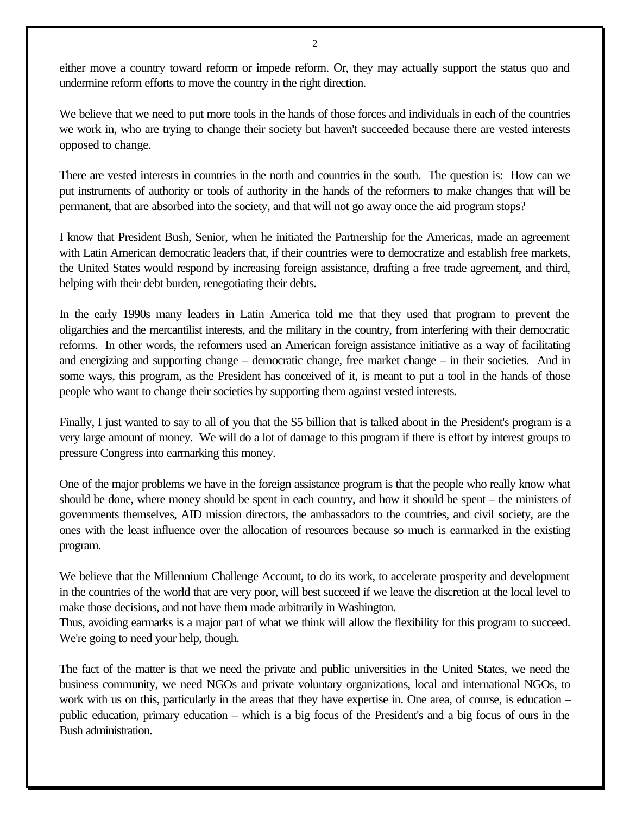either move a country toward reform or impede reform. Or, they may actually support the status quo and undermine reform efforts to move the country in the right direction.

We believe that we need to put more tools in the hands of those forces and individuals in each of the countries we work in, who are trying to change their society but haven't succeeded because there are vested interests opposed to change.

There are vested interests in countries in the north and countries in the south. The question is: How can we put instruments of authority or tools of authority in the hands of the reformers to make changes that will be permanent, that are absorbed into the society, and that will not go away once the aid program stops?

I know that President Bush, Senior, when he initiated the Partnership for the Americas, made an agreement with Latin American democratic leaders that, if their countries were to democratize and establish free markets, the United States would respond by increasing foreign assistance, drafting a free trade agreement, and third, helping with their debt burden, renegotiating their debts.

In the early 1990s many leaders in Latin America told me that they used that program to prevent the oligarchies and the mercantilist interests, and the military in the country, from interfering with their democratic reforms. In other words, the reformers used an American foreign assistance initiative as a way of facilitating and energizing and supporting change – democratic change, free market change – in their societies. And in some ways, this program, as the President has conceived of it, is meant to put a tool in the hands of those people who want to change their societies by supporting them against vested interests.

Finally, I just wanted to say to all of you that the \$5 billion that is talked about in the President's program is a very large amount of money. We will do a lot of damage to this program if there is effort by interest groups to pressure Congress into earmarking this money.

One of the major problems we have in the foreign assistance program is that the people who really know what should be done, where money should be spent in each country, and how it should be spent – the ministers of governments themselves, AID mission directors, the ambassadors to the countries, and civil society, are the ones with the least influence over the allocation of resources because so much is earmarked in the existing program.

We believe that the Millennium Challenge Account, to do its work, to accelerate prosperity and development in the countries of the world that are very poor, will best succeed if we leave the discretion at the local level to make those decisions, and not have them made arbitrarily in Washington.

Thus, avoiding earmarks is a major part of what we think will allow the flexibility for this program to succeed. We're going to need your help, though.

The fact of the matter is that we need the private and public universities in the United States, we need the business community, we need NGOs and private voluntary organizations, local and international NGOs, to work with us on this, particularly in the areas that they have expertise in. One area, of course, is education – public education, primary education – which is a big focus of the President's and a big focus of ours in the Bush administration.

2